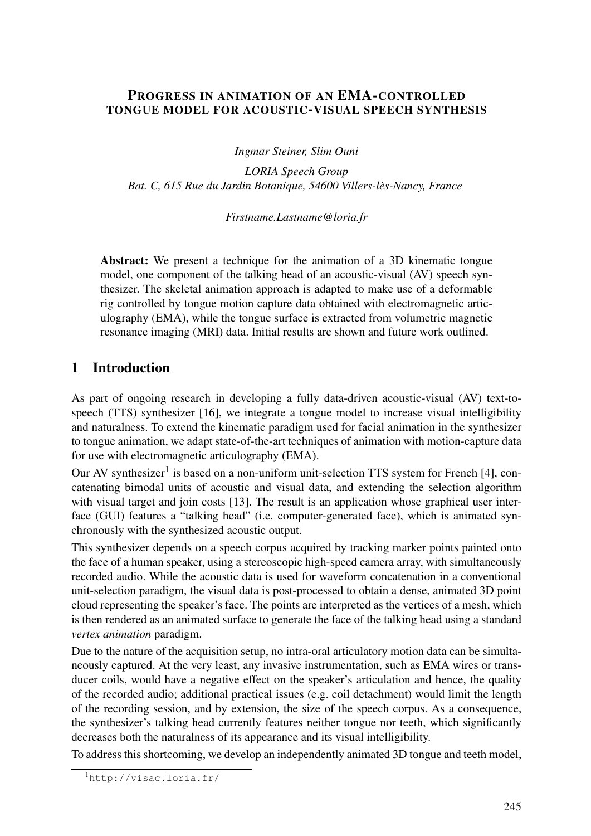## PROGRESS IN ANIMATION OF AN EMA-CONTROLLED TONGUE MODEL FOR ACOUSTIC-VISUAL SPEECH SYNTHESIS

*Ingmar Steiner, Slim Ouni*

*LORIA Speech Group Bat. C, 615 Rue du Jardin Botanique, 54600 Villers-les-Nancy, France `*

*Firstname.Lastname@loria.fr*

Abstract: We present a technique for the animation of a 3D kinematic tongue model, one component of the talking head of an acoustic-visual (AV) speech synthesizer. The skeletal animation approach is adapted to make use of a deformable rig controlled by tongue motion capture data obtained with electromagnetic articulography (EMA), while the tongue surface is extracted from volumetric magnetic resonance imaging (MRI) data. Initial results are shown and future work outlined.

## <span id="page-0-1"></span>1 Introduction

As part of ongoing research in developing a fully data-driven acoustic-visual (AV) text-tospeech (TTS) synthesizer [\[16\]](#page-7-0), we integrate a tongue model to increase visual intelligibility and naturalness. To extend the kinematic paradigm used for facial animation in the synthesizer to tongue animation, we adapt state-of-the-art techniques of animation with motion-capture data for use with electromagnetic articulography (EMA).

Our AV synthesizer<sup>[1](#page-0-0)</sup> is based on a non-uniform unit-selection TTS system for French [\[4\]](#page-6-0), concatenating bimodal units of acoustic and visual data, and extending the selection algorithm with visual target and join costs [\[13\]](#page-6-1). The result is an application whose graphical user interface (GUI) features a "talking head" (i.e. computer-generated face), which is animated synchronously with the synthesized acoustic output.

This synthesizer depends on a speech corpus acquired by tracking marker points painted onto the face of a human speaker, using a stereoscopic high-speed camera array, with simultaneously recorded audio. While the acoustic data is used for waveform concatenation in a conventional unit-selection paradigm, the visual data is post-processed to obtain a dense, animated 3D point cloud representing the speaker's face. The points are interpreted as the vertices of a mesh, which is then rendered as an animated surface to generate the face of the talking head using a standard *vertex animation* paradigm.

Due to the nature of the acquisition setup, no intra-oral articulatory motion data can be simultaneously captured. At the very least, any invasive instrumentation, such as EMA wires or transducer coils, would have a negative effect on the speaker's articulation and hence, the quality of the recorded audio; additional practical issues (e.g. coil detachment) would limit the length of the recording session, and by extension, the size of the speech corpus. As a consequence, the synthesizer's talking head currently features neither tongue nor teeth, which significantly decreases both the naturalness of its appearance and its visual intelligibility.

To address this shortcoming, we develop an independently animated 3D tongue and teeth model,

<span id="page-0-0"></span><sup>1</sup><http://visac.loria.fr/>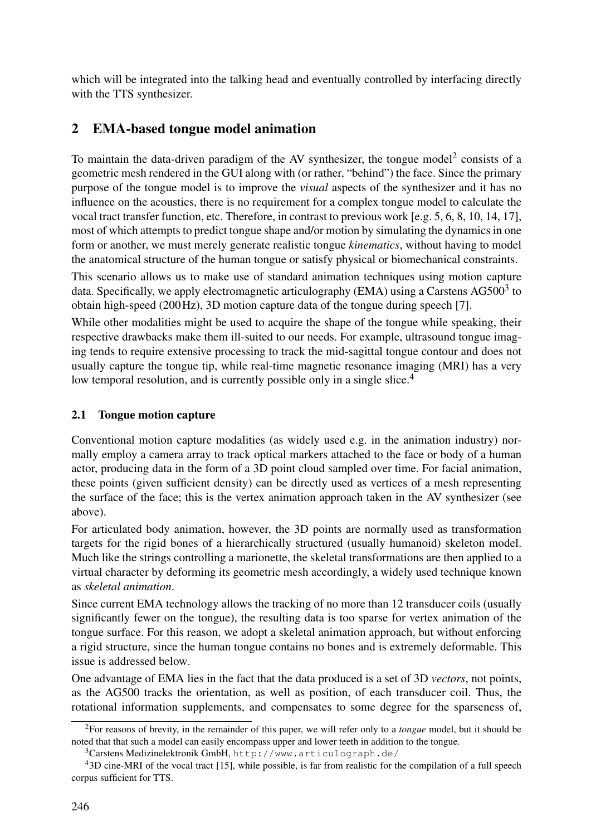which will be integrated into the talking head and eventually controlled by interfacing directly with the TTS synthesizer.

# 2 EMA-based tongue model animation

To maintain the data-driven paradigm of the AV synthesizer, the tongue model<sup>[2](#page-1-0)</sup> consists of a geometric mesh rendered in the GUI along with (or rather, "behind") the face. Since the primary purpose of the tongue model is to improve the *visual* aspects of the synthesizer and it has no influence on the acoustics, there is no requirement for a complex tongue model to calculate the vocal tract transfer function, etc. Therefore, in contrast to previous work [e.g. [5,](#page-6-2) [6,](#page-6-3) [8,](#page-6-4) [10,](#page-6-5) [14,](#page-7-1) [17\]](#page-7-2), most of which attempts to predict tongue shape and/or motion by simulating the dynamics in one form or another, we must merely generate realistic tongue *kinematics*, without having to model the anatomical structure of the human tongue or satisfy physical or biomechanical constraints.

This scenario allows us to make use of standard animation techniques using motion capture data. Specifically, we apply electromagnetic articulography (EMA) using a Carstens AG500<sup>[3](#page-1-1)</sup> to obtain high-speed (200Hz), 3D motion capture data of the tongue during speech [\[7\]](#page-6-6).

While other modalities might be used to acquire the shape of the tongue while speaking, their respective drawbacks make them ill-suited to our needs. For example, ultrasound tongue imaging tends to require extensive processing to track the mid-sagittal tongue contour and does not usually capture the tongue tip, while real-time magnetic resonance imaging (MRI) has a very low temporal resolution, and is currently possible only in a single slice.<sup>[4](#page-1-2)</sup>

## 2.1 Tongue motion capture

Conventional motion capture modalities (as widely used e.g. in the animation industry) normally employ a camera array to track optical markers attached to the face or body of a human actor, producing data in the form of a 3D point cloud sampled over time. For facial animation, these points (given sufficient density) can be directly used as vertices of a mesh representing the surface of the face; this is the vertex animation approach taken in the AV synthesizer (see [above\)](#page-0-1).

For articulated body animation, however, the 3D points are normally used as transformation targets for the rigid bones of a hierarchically structured (usually humanoid) skeleton model. Much like the strings controlling a marionette, the skeletal transformations are then applied to a virtual character by deforming its geometric mesh accordingly, a widely used technique known as *skeletal animation*.

Since current EMA technology allows the tracking of no more than 12 transducer coils (usually significantly fewer on the tongue), the resulting data is too sparse for vertex animation of the tongue surface. For this reason, we adopt a skeletal animation approach, but without enforcing a rigid structure, since the human tongue contains no bones and is extremely deformable. This issue is addressed [below.](#page-2-0)

One advantage of EMA lies in the fact that the data produced is a set of 3D *vectors*, not points, as the AG500 tracks the orientation, as well as position, of each transducer coil. Thus, the rotational information supplements, and compensates to some degree for the sparseness of,

<span id="page-1-0"></span><sup>2</sup>For reasons of brevity, in the remainder of this paper, we will refer only to a *tongue* model, but it should be noted that that such a model can easily encompass upper and lower teeth in addition to the tongue.

<span id="page-1-2"></span><span id="page-1-1"></span><sup>3</sup>Carstens Medizinelektronik GmbH, <http://www.articulograph.de/>

<sup>&</sup>lt;sup>4</sup>3D cine-MRI of the vocal tract [\[15\]](#page-7-3), while possible, is far from realistic for the compilation of a full speech corpus sufficient for TTS.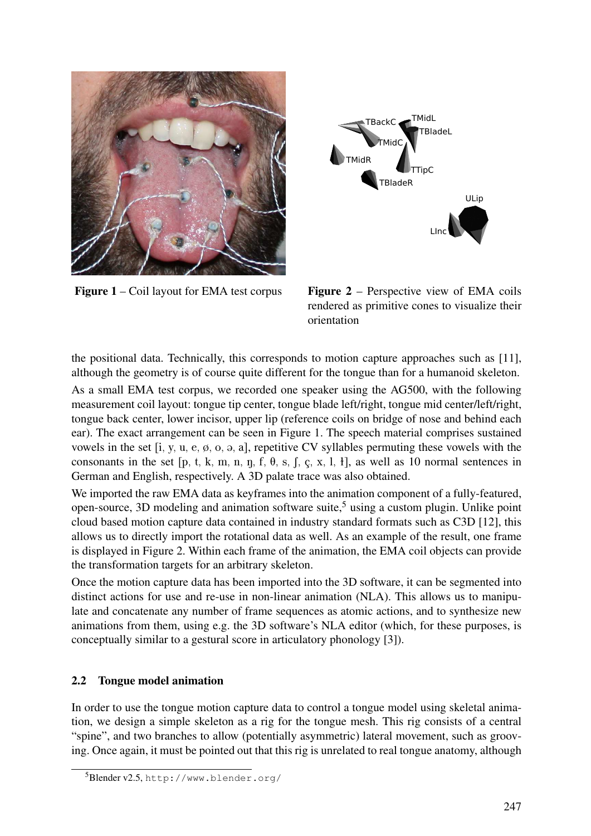<span id="page-2-1"></span>

Figure 1 – Coil layout for EMA test corpus



Figure 2 – Perspective view of EMA coils rendered as primitive cones to visualize their orientation

the positional data. Technically, this corresponds to motion capture approaches such as [\[11\]](#page-6-7), although the geometry is of course quite different for the tongue than for a humanoid skeleton.

As a small EMA test corpus, we recorded one speaker using the AG500, with the following measurement coil layout: tongue tip center, tongue blade left/right, tongue mid center/left/right, tongue back center, lower incisor, upper lip (reference coils on bridge of nose and behind each ear). The exact arrangement can be seen in [Figure 1.](#page-2-1) The speech material comprises sustained vowels in the set  $[i, y, u, e, \emptyset, o, a, a]$ , repetitive CV syllables permuting these vowels with the consonants in the set  $[p, t, k, m, n, n, f, \theta, s, f, c, x, l, t]$ , as well as 10 normal sentences in German and English, respectively. A 3D palate trace was also obtained.

We imported the raw EMA data as keyframes into the animation component of a fully-featured, open-source, 3D modeling and animation software suite,<sup>[5](#page-2-2)</sup> using a custom plugin. Unlike point cloud based motion capture data contained in industry standard formats such as C3D [\[12\]](#page-6-8), this allows us to directly import the rotational data as well. As an example of the result, one frame is displayed in [Figure 2.](#page-2-1) Within each frame of the animation, the EMA coil objects can provide the transformation targets for an arbitrary skeleton.

Once the motion capture data has been imported into the 3D software, it can be segmented into distinct actions for use and re-use in non-linear animation (NLA). This allows us to manipulate and concatenate any number of frame sequences as atomic actions, and to synthesize new animations from them, using e.g. the 3D software's NLA editor (which, for these purposes, is conceptually similar to a gestural score in articulatory phonology [\[3\]](#page-6-9)).

## <span id="page-2-0"></span>2.2 Tongue model animation

In order to use the tongue motion capture data to control a tongue model using skeletal animation, we design a simple skeleton as a rig for the tongue mesh. This rig consists of a central "spine", and two branches to allow (potentially asymmetric) lateral movement, such as grooving. Once again, it must be pointed out that this rig is unrelated to real tongue anatomy, although

<span id="page-2-2"></span><sup>5</sup>Blender v2.5, <http://www.blender.org/>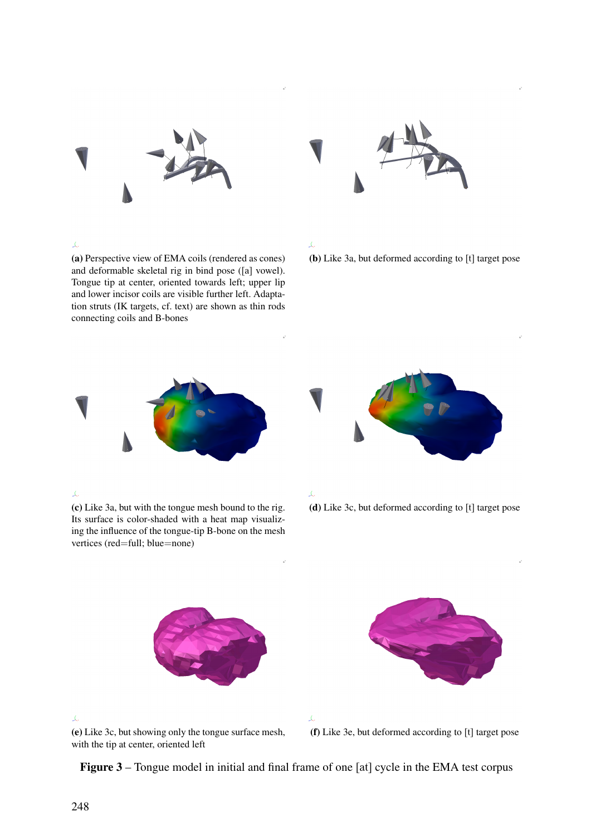<span id="page-3-3"></span><span id="page-3-0"></span>

#### $\tilde{\mathcal{L}}$

(a) Perspective view of EMA coils (rendered as cones) and deformable skeletal rig in bind pose ([a] vowel). Tongue tip at center, oriented towards left; upper lip and lower incisor coils are visible further left. Adaptation struts (IK targets, cf. text) are shown as thin rods connecting coils and B-bones



### $\vec{\lambda}$

(b) Like [3a,](#page-3-0) but deformed according to [t] target pose



### <span id="page-3-1"></span> $\tilde{\mathcal{L}}$

(c) Like [3a,](#page-3-0) but with the tongue mesh bound to the rig. Its surface is color-shaded with a heat map visualizing the influence of the tongue-tip B-bone on the mesh vertices (red=full; blue=none)





(d) Like [3c,](#page-3-1) but deformed according to [t] target pose



<span id="page-3-2"></span>工 (e) Like [3c,](#page-3-1) but showing only the tongue surface mesh, with the tip at center, oriented left



(f) Like [3e,](#page-3-2) but deformed according to [t] target pose

Figure 3 – Tongue model in initial and final frame of one [at] cycle in the EMA test corpus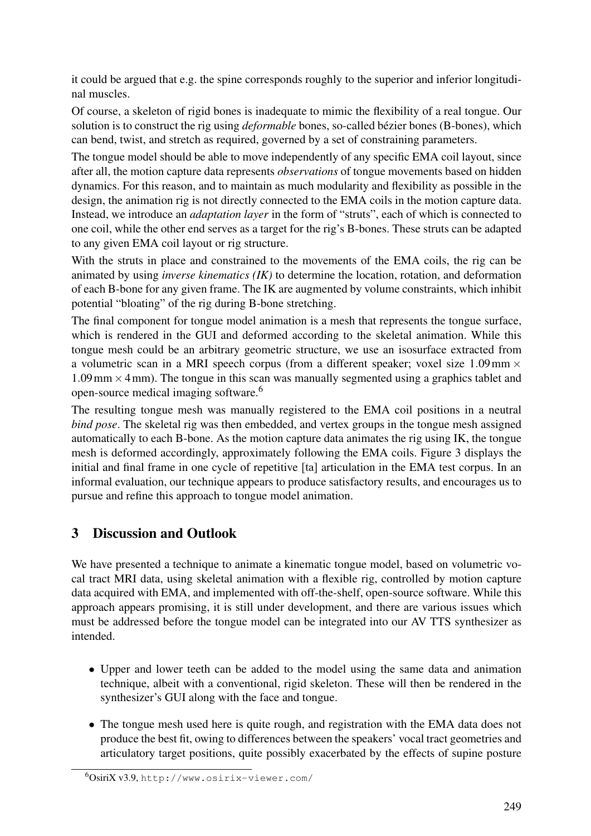it could be argued that e.g. the spine corresponds roughly to the superior and inferior longitudinal muscles.

Of course, a skeleton of rigid bones is inadequate to mimic the flexibility of a real tongue. Our solution is to construct the rig using *deformable* bones, so-called bézier bones (B-bones), which can bend, twist, and stretch as required, governed by a set of constraining parameters.

The tongue model should be able to move independently of any specific EMA coil layout, since after all, the motion capture data represents *observations* of tongue movements based on hidden dynamics. For this reason, and to maintain as much modularity and flexibility as possible in the design, the animation rig is not directly connected to the EMA coils in the motion capture data. Instead, we introduce an *adaptation layer* in the form of "struts", each of which is connected to one coil, while the other end serves as a target for the rig's B-bones. These struts can be adapted to any given EMA coil layout or rig structure.

With the struts in place and constrained to the movements of the EMA coils, the rig can be animated by using *inverse kinematics (IK)* to determine the location, rotation, and deformation of each B-bone for any given frame. The IK are augmented by volume constraints, which inhibit potential "bloating" of the rig during B-bone stretching.

The final component for tongue model animation is a mesh that represents the tongue surface, which is rendered in the GUI and deformed according to the skeletal animation. While this tongue mesh could be an arbitrary geometric structure, we use an isosurface extracted from a volumetric scan in a MRI speech corpus (from a different speaker; voxel size  $1.09 \text{ mm} \times$  $1.09 \text{ mm} \times 4 \text{ mm}$ ). The tongue in this scan was manually segmented using a graphics tablet and open-source medical imaging software.[6](#page-4-0)

The resulting tongue mesh was manually registered to the EMA coil positions in a neutral *bind pose*. The skeletal rig was then embedded, and vertex groups in the tongue mesh assigned automatically to each B-bone. As the motion capture data animates the rig using IK, the tongue mesh is deformed accordingly, approximately following the EMA coils. [Figure 3](#page-3-3) displays the initial and final frame in one cycle of repetitive [ta] articulation in the EMA test corpus. In an informal evaluation, our technique appears to produce satisfactory results, and encourages us to pursue and refine this approach to tongue model animation.

# 3 Discussion and Outlook

We have presented a technique to animate a kinematic tongue model, based on volumetric vocal tract MRI data, using skeletal animation with a flexible rig, controlled by motion capture data acquired with EMA, and implemented with off-the-shelf, open-source software. While this approach appears promising, it is still under development, and there are various issues which must be addressed before the tongue model can be integrated into our AV TTS synthesizer as intended.

- Upper and lower teeth can be added to the model using the same data and animation technique, albeit with a conventional, rigid skeleton. These will then be rendered in the synthesizer's GUI along with the face and tongue.
- <span id="page-4-0"></span>• The tongue mesh used here is quite rough, and registration with the EMA data does not produce the best fit, owing to differences between the speakers' vocal tract geometries and articulatory target positions, quite possibly exacerbated by the effects of supine posture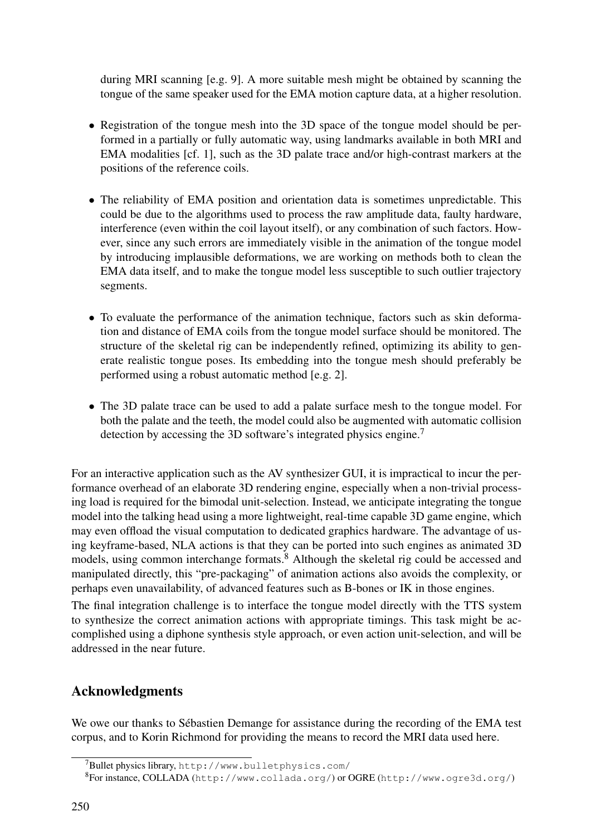during MRI scanning [e.g. [9\]](#page-6-10). A more suitable mesh might be obtained by scanning the tongue of the same speaker used for the EMA motion capture data, at a higher resolution.

- Registration of the tongue mesh into the 3D space of the tongue model should be performed in a partially or fully automatic way, using landmarks available in both MRI and EMA modalities [cf. [1\]](#page-6-11), such as the 3D palate trace and/or high-contrast markers at the positions of the reference coils.
- The reliability of EMA position and orientation data is sometimes unpredictable. This could be due to the algorithms used to process the raw amplitude data, faulty hardware, interference (even within the coil layout itself), or any combination of such factors. However, since any such errors are immediately visible in the animation of the tongue model by introducing implausible deformations, we are working on methods both to clean the EMA data itself, and to make the tongue model less susceptible to such outlier trajectory segments.
- To evaluate the performance of the animation technique, factors such as skin deformation and distance of EMA coils from the tongue model surface should be monitored. The structure of the skeletal rig can be independently refined, optimizing its ability to generate realistic tongue poses. Its embedding into the tongue mesh should preferably be performed using a robust automatic method [e.g. [2\]](#page-6-12).
- The 3D palate trace can be used to add a palate surface mesh to the tongue model. For both the palate and the teeth, the model could also be augmented with automatic collision detection by accessing the 3D software's integrated physics engine.<sup>[7](#page-5-0)</sup>

For an interactive application such as the AV synthesizer GUI, it is impractical to incur the performance overhead of an elaborate 3D rendering engine, especially when a non-trivial processing load is required for the bimodal unit-selection. Instead, we anticipate integrating the tongue model into the talking head using a more lightweight, real-time capable 3D game engine, which may even offload the visual computation to dedicated graphics hardware. The advantage of using keyframe-based, NLA actions is that they can be ported into such engines as animated 3D models, using common interchange formats.<sup>[8](#page-5-1)</sup> Although the skeletal rig could be accessed and manipulated directly, this "pre-packaging" of animation actions also avoids the complexity, or perhaps even unavailability, of advanced features such as B-bones or IK in those engines.

The final integration challenge is to interface the tongue model directly with the TTS system to synthesize the correct animation actions with appropriate timings. This task might be accomplished using a diphone synthesis style approach, or even action unit-selection, and will be addressed in the near future.

# Acknowledgments

We owe our thanks to Sébastien Demange for assistance during the recording of the EMA test corpus, and to Korin Richmond for providing the means to record the MRI data used here.

<span id="page-5-0"></span><sup>7</sup>Bullet physics library, <http://www.bulletphysics.com/>

<span id="page-5-1"></span> ${}^{8}$ For instance, COLLADA (<http://www.collada.org/>) or OGRE (<http://www.ogre3d.org/>)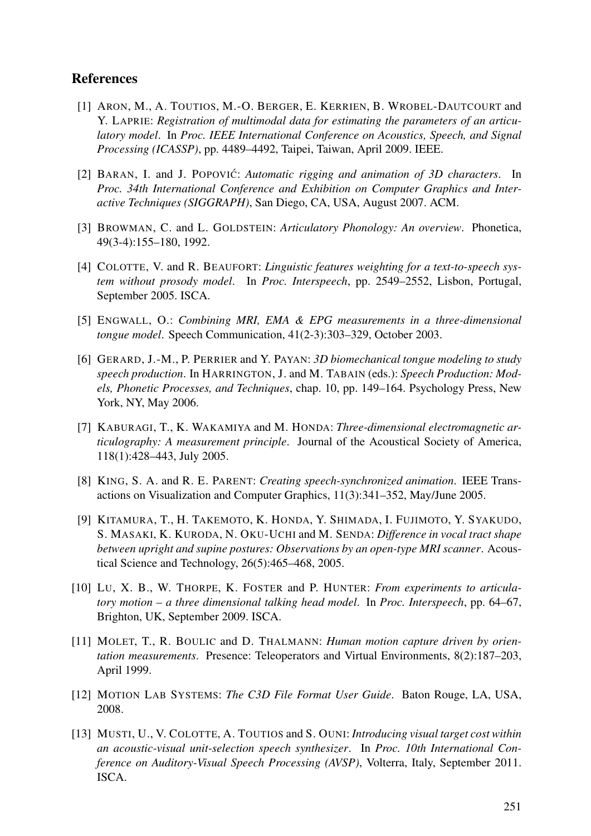## **References**

- <span id="page-6-11"></span>[1] ARON, M., A. TOUTIOS, M.-O. BERGER, E. KERRIEN, B. WROBEL-DAUTCOURT and Y. LAPRIE: *Registration of multimodal data for estimating the parameters of an articulatory model*. In *Proc. IEEE International Conference on Acoustics, Speech, and Signal Processing (ICASSP)*, pp. 4489–4492, Taipei, Taiwan, April 2009. IEEE.
- <span id="page-6-12"></span>[2] BARAN, I. and J. POPOVIC´: *Automatic rigging and animation of 3D characters*. In *Proc. 34th International Conference and Exhibition on Computer Graphics and Interactive Techniques (SIGGRAPH)*, San Diego, CA, USA, August 2007. ACM.
- <span id="page-6-9"></span>[3] BROWMAN, C. and L. GOLDSTEIN: *Articulatory Phonology: An overview*. Phonetica, 49(3-4):155–180, 1992.
- <span id="page-6-0"></span>[4] COLOTTE, V. and R. BEAUFORT: *Linguistic features weighting for a text-to-speech system without prosody model*. In *Proc. Interspeech*, pp. 2549–2552, Lisbon, Portugal, September 2005. ISCA.
- <span id="page-6-2"></span>[5] ENGWALL, O.: *Combining MRI, EMA & EPG measurements in a three-dimensional tongue model*. Speech Communication, 41(2-3):303–329, October 2003.
- <span id="page-6-3"></span>[6] GERARD, J.-M., P. PERRIER and Y. PAYAN: *3D biomechanical tongue modeling to study speech production*. In HARRINGTON, J. and M. TABAIN (eds.): *Speech Production: Models, Phonetic Processes, and Techniques*, chap. 10, pp. 149–164. Psychology Press, New York, NY, May 2006.
- <span id="page-6-6"></span>[7] KABURAGI, T., K. WAKAMIYA and M. HONDA: *Three-dimensional electromagnetic articulography: A measurement principle*. Journal of the Acoustical Society of America, 118(1):428–443, July 2005.
- <span id="page-6-4"></span>[8] KING, S. A. and R. E. PARENT: *Creating speech-synchronized animation*. IEEE Transactions on Visualization and Computer Graphics, 11(3):341–352, May/June 2005.
- <span id="page-6-10"></span>[9] KITAMURA, T., H. TAKEMOTO, K. HONDA, Y. SHIMADA, I. FUJIMOTO, Y. SYAKUDO, S. MASAKI, K. KURODA, N. OKU-UCHI and M. SENDA: *Difference in vocal tract shape between upright and supine postures: Observations by an open-type MRI scanner*. Acoustical Science and Technology, 26(5):465–468, 2005.
- <span id="page-6-5"></span>[10] LU, X. B., W. THORPE, K. FOSTER and P. HUNTER: *From experiments to articulatory motion – a three dimensional talking head model*. In *Proc. Interspeech*, pp. 64–67, Brighton, UK, September 2009. ISCA.
- <span id="page-6-7"></span>[11] MOLET, T., R. BOULIC and D. THALMANN: *Human motion capture driven by orientation measurements*. Presence: Teleoperators and Virtual Environments, 8(2):187–203, April 1999.
- <span id="page-6-8"></span>[12] MOTION LAB SYSTEMS: *The C3D File Format User Guide*. Baton Rouge, LA, USA, 2008.
- <span id="page-6-1"></span>[13] MUSTI, U., V. COLOTTE, A. TOUTIOS and S. OUNI: *Introducing visual target cost within an acoustic-visual unit-selection speech synthesizer*. In *Proc. 10th International Conference on Auditory-Visual Speech Processing (AVSP)*, Volterra, Italy, September 2011. ISCA.